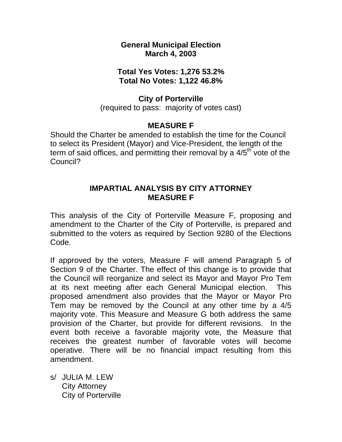**General Municipal Election March 4, 2003** 

### **Total Yes Votes: 1,276 53.2% Total No Votes: 1,122 46.8%**

## **City of Porterville**

(required to pass: majority of votes cast)

# **MEASURE F**

Should the Charter be amended to establish the time for the Council to select its President (Mayor) and Vice-President, the length of the term of said offices, and permitting their removal by a  $4/5<sup>th</sup>$  vote of the Council?

## **IMPARTIAL ANALYSIS BY CITY ATTORNEY MEASURE F**

This analysis of the City of Porterville Measure F, proposing and amendment to the Charter of the City of Porterville, is prepared and submitted to the voters as required by Section 9280 of the Elections Code.

If approved by the voters, Measure F will amend Paragraph 5 of Section 9 of the Charter. The effect of this change is to provide that the Council will reorganize and select its Mayor and Mayor Pro Tem at its next meeting after each General Municipal election. This proposed amendment also provides that the Mayor or Mayor Pro Tem may be removed by the Council at any other time by a 4/5 majority vote. This Measure and Measure G both address the same provision of the Charter, but provide for different revisions. In the event both receive a favorable majority vote, the Measure that receives the greatest number of favorable votes will become operative. There will be no financial impact resulting from this amendment.

s/ JULIA M. LEW City Attorney City of Porterville